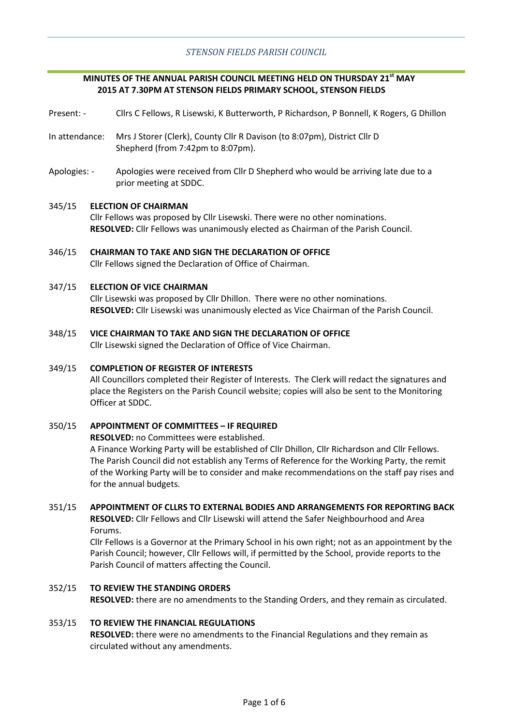## **MINUTES OF THE ANNUAL PARISH COUNCIL MEETING HELD ON THURSDAY 21st MAY 2015 AT 7.30PM AT STENSON FIELDS PRIMARY SCHOOL, STENSON FIELDS**

- Present: Cllrs C Fellows, R Lisewski, K Butterworth, P Richardson, P Bonnell, K Rogers, G Dhillon
- In attendance: Mrs J Storer (Clerk), County Cllr R Davison (to 8:07pm), District Cllr D Shepherd (from 7:42pm to 8:07pm).
- Apologies: Apologies were received from Cllr D Shepherd who would be arriving late due to a prior meeting at SDDC.

#### 345/15 **ELECTION OF CHAIRMAN**

Cllr Fellows was proposed by Cllr Lisewski. There were no other nominations. **RESOLVED:** Cllr Fellows was unanimously elected as Chairman of the Parish Council.

346/15 **CHAIRMAN TO TAKE AND SIGN THE DECLARATION OF OFFICE** Cllr Fellows signed the Declaration of Office of Chairman.

#### 347/15 **ELECTION OF VICE CHAIRMAN**

Cllr Lisewski was proposed by Cllr Dhillon. There were no other nominations. **RESOLVED:** Cllr Lisewski was unanimously elected as Vice Chairman of the Parish Council.

348/15 **VICE CHAIRMAN TO TAKE AND SIGN THE DECLARATION OF OFFICE**

Cllr Lisewski signed the Declaration of Office of Vice Chairman.

#### 349/15 **COMPLETION OF REGISTER OF INTERESTS**

All Councillors completed their Register of Interests. The Clerk will redact the signatures and place the Registers on the Parish Council website; copies will also be sent to the Monitoring Officer at SDDC.

#### 350/15 **APPOINTMENT OF COMMITTEES – IF REQUIRED**

**RESOLVED:** no Committees were established.

A Finance Working Party will be established of Cllr Dhillon, Cllr Richardson and Cllr Fellows. The Parish Council did not establish any Terms of Reference for the Working Party, the remit of the Working Party will be to consider and make recommendations on the staff pay rises and for the annual budgets.

#### 351/15 **APPOINTMENT OF CLLRS TO EXTERNAL BODIES AND ARRANGEMENTS FOR REPORTING BACK**

**RESOLVED:** Cllr Fellows and Cllr Lisewski will attend the Safer Neighbourhood and Area Forums.

Cllr Fellows is a Governor at the Primary School in his own right; not as an appointment by the Parish Council; however, Cllr Fellows will, if permitted by the School, provide reports to the Parish Council of matters affecting the Council.

352/15 **TO REVIEW THE STANDING ORDERS RESOLVED:** there are no amendments to the Standing Orders, and they remain as circulated.

#### 353/15 **TO REVIEW THE FINANCIAL REGULATIONS**

**RESOLVED:** there were no amendments to the Financial Regulations and they remain as circulated without any amendments.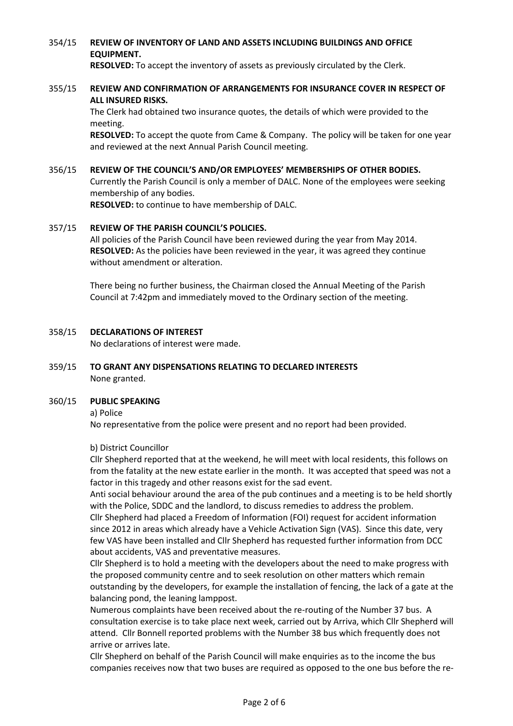### 354/15 **REVIEW OF INVENTORY OF LAND AND ASSETS INCLUDING BUILDINGS AND OFFICE EQUIPMENT.**

**RESOLVED:** To accept the inventory of assets as previously circulated by the Clerk.

### 355/15 **REVIEW AND CONFIRMATION OF ARRANGEMENTS FOR INSURANCE COVER IN RESPECT OF ALL INSURED RISKS.**

The Clerk had obtained two insurance quotes, the details of which were provided to the meeting.

**RESOLVED:** To accept the quote from Came & Company. The policy will be taken for one year and reviewed at the next Annual Parish Council meeting.

### 356/15 **REVIEW OF THE COUNCIL'S AND/OR EMPLOYEES' MEMBERSHIPS OF OTHER BODIES.**

Currently the Parish Council is only a member of DALC. None of the employees were seeking membership of any bodies.

**RESOLVED:** to continue to have membership of DALC.

#### 357/15 **REVIEW OF THE PARISH COUNCIL'S POLICIES.**

All policies of the Parish Council have been reviewed during the year from May 2014. **RESOLVED:** As the policies have been reviewed in the year, it was agreed they continue without amendment or alteration.

There being no further business, the Chairman closed the Annual Meeting of the Parish Council at 7:42pm and immediately moved to the Ordinary section of the meeting.

#### 358/15 **DECLARATIONS OF INTEREST**

No declarations of interest were made.

### 359/15 **TO GRANT ANY DISPENSATIONS RELATING TO DECLARED INTERESTS** None granted.

#### 360/15 **PUBLIC SPEAKING**

a) Police

No representative from the police were present and no report had been provided.

## b) District Councillor

Cllr Shepherd reported that at the weekend, he will meet with local residents, this follows on from the fatality at the new estate earlier in the month. It was accepted that speed was not a factor in this tragedy and other reasons exist for the sad event.

Anti social behaviour around the area of the pub continues and a meeting is to be held shortly with the Police, SDDC and the landlord, to discuss remedies to address the problem.

Cllr Shepherd had placed a Freedom of Information (FOI) request for accident information since 2012 in areas which already have a Vehicle Activation Sign (VAS). Since this date, very few VAS have been installed and Cllr Shepherd has requested further information from DCC about accidents, VAS and preventative measures.

Cllr Shepherd is to hold a meeting with the developers about the need to make progress with the proposed community centre and to seek resolution on other matters which remain outstanding by the developers, for example the installation of fencing, the lack of a gate at the balancing pond, the leaning lamppost.

Numerous complaints have been received about the re-routing of the Number 37 bus. A consultation exercise is to take place next week, carried out by Arriva, which Cllr Shepherd will attend. Cllr Bonnell reported problems with the Number 38 bus which frequently does not arrive or arrives late.

Cllr Shepherd on behalf of the Parish Council will make enquiries as to the income the bus companies receives now that two buses are required as opposed to the one bus before the re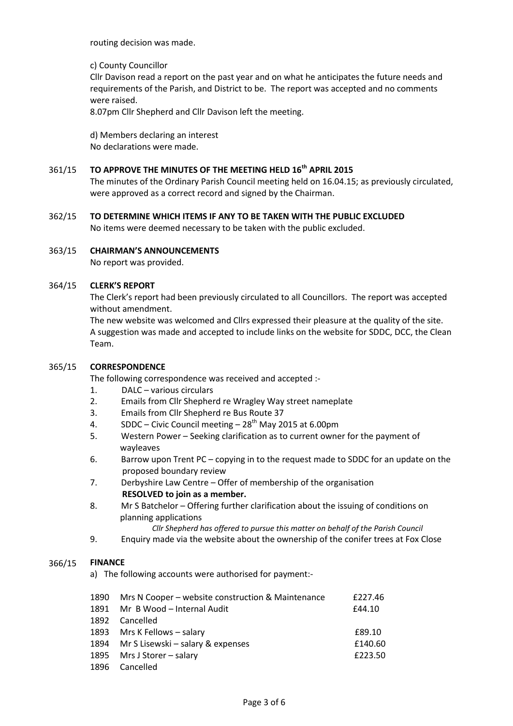routing decision was made.

# c) County Councillor

Cllr Davison read a report on the past year and on what he anticipates the future needs and requirements of the Parish, and District to be. The report was accepted and no comments were raised.

8.07pm Cllr Shepherd and Cllr Davison left the meeting.

d) Members declaring an interest No declarations were made.

#### 361/15 **TO APPROVE THE MINUTES OF THE MEETING HELD 16th APRIL 2015**

The minutes of the Ordinary Parish Council meeting held on 16.04.15; as previously circulated, were approved as a correct record and signed by the Chairman.

362/15 **TO DETERMINE WHICH ITEMS IF ANY TO BE TAKEN WITH THE PUBLIC EXCLUDED** No items were deemed necessary to be taken with the public excluded.

### 363/15 **CHAIRMAN'S ANNOUNCEMENTS**

No report was provided.

#### 364/15 **CLERK'S REPORT**

The Clerk's report had been previously circulated to all Councillors. The report was accepted without amendment.

The new website was welcomed and Cllrs expressed their pleasure at the quality of the site. A suggestion was made and accepted to include links on the website for SDDC, DCC, the Clean Team.

#### 365/15 **CORRESPONDENCE**

The following correspondence was received and accepted :-

- 1. DALC various circulars
- 2. Emails from Cllr Shepherd re Wragley Way street nameplate
- 3. Emails from Cllr Shepherd re Bus Route 37
- 4. SDDC Civic Council meeting  $28<sup>th</sup>$  May 2015 at 6.00pm
- 5. Western Power Seeking clarification as to current owner for the payment of wayleaves
- 6. Barrow upon Trent PC copying in to the request made to SDDC for an update on the proposed boundary review
- 7. Derbyshire Law Centre Offer of membership of the organisation **RESOLVED to join as a member.**
- 8. Mr S Batchelor Offering further clarification about the issuing of conditions on planning applications
	- *Cllr Shepherd has offered to pursue this matter on behalf of the Parish Council*
- 9. Enquiry made via the website about the ownership of the conifer trees at Fox Close

#### 366/15 **FINANCE**

a) The following accounts were authorised for payment:-

|      | 1890 Mrs N Cooper - website construction & Maintenance | £227.46 |
|------|--------------------------------------------------------|---------|
|      | 1891 Mr B Wood - Internal Audit                        | £44.10  |
| 1892 | Cancelled                                              |         |
|      | 1893 Mrs K Fellows - salary                            | £89.10  |
|      | 1894 Mr S Lisewski – salary & expenses                 | £140.60 |
|      | 1895 Mrs J Storer - salary                             | £223.50 |
|      | 1896 Cancelled                                         |         |

Page 3 of 6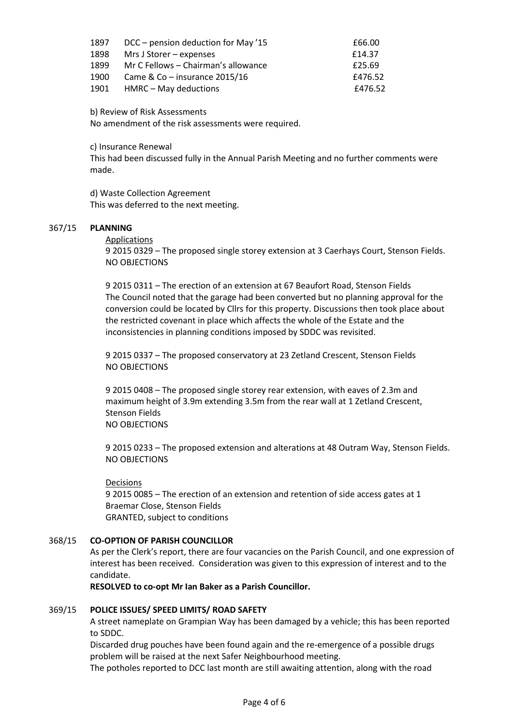| 1897 | DCC – pension deduction for May '15 | £66.00  |
|------|-------------------------------------|---------|
| 1898 | Mrs J Storer – expenses             | £14.37  |
| 1899 | Mr C Fellows – Chairman's allowance | £25.69  |
| 1900 | Came & $Co$ – insurance 2015/16     | £476.52 |
| 1901 | HMRC - May deductions               | £476.52 |

b) Review of Risk Assessments

No amendment of the risk assessments were required.

c) Insurance Renewal

This had been discussed fully in the Annual Parish Meeting and no further comments were made.

d) Waste Collection Agreement This was deferred to the next meeting.

#### 367/15 **PLANNING**

## Applications

9 2015 0329 – The proposed single storey extension at 3 Caerhays Court, Stenson Fields. NO OBJECTIONS

9 2015 0311 – The erection of an extension at 67 Beaufort Road, Stenson Fields The Council noted that the garage had been converted but no planning approval for the conversion could be located by Cllrs for this property. Discussions then took place about the restricted covenant in place which affects the whole of the Estate and the inconsistencies in planning conditions imposed by SDDC was revisited.

9 2015 0337 – The proposed conservatory at 23 Zetland Crescent, Stenson Fields NO OBJECTIONS

9 2015 0408 – The proposed single storey rear extension, with eaves of 2.3m and maximum height of 3.9m extending 3.5m from the rear wall at 1 Zetland Crescent, Stenson Fields NO OBJECTIONS

9 2015 0233 – The proposed extension and alterations at 48 Outram Way, Stenson Fields. NO OBJECTIONS

Decisions

9 2015 0085 – The erection of an extension and retention of side access gates at 1 Braemar Close, Stenson Fields GRANTED, subject to conditions

#### 368/15 **CO-OPTION OF PARISH COUNCILLOR**

As per the Clerk's report, there are four vacancies on the Parish Council, and one expression of interest has been received. Consideration was given to this expression of interest and to the candidate.

**RESOLVED to co-opt Mr Ian Baker as a Parish Councillor.**

#### 369/15 **POLICE ISSUES/ SPEED LIMITS/ ROAD SAFETY**

A street nameplate on Grampian Way has been damaged by a vehicle; this has been reported to SDDC.

Discarded drug pouches have been found again and the re-emergence of a possible drugs problem will be raised at the next Safer Neighbourhood meeting.

The potholes reported to DCC last month are still awaiting attention, along with the road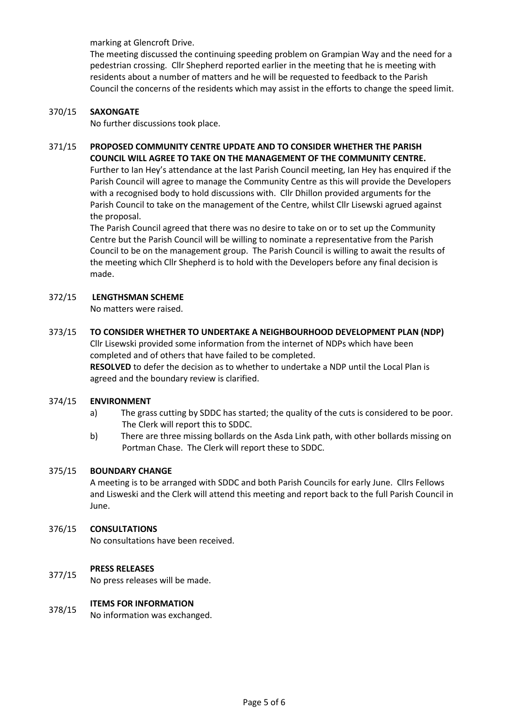marking at Glencroft Drive.

The meeting discussed the continuing speeding problem on Grampian Way and the need for a pedestrian crossing. Cllr Shepherd reported earlier in the meeting that he is meeting with residents about a number of matters and he will be requested to feedback to the Parish Council the concerns of the residents which may assist in the efforts to change the speed limit.

#### 370/15 **SAXONGATE**

No further discussions took place.

## 371/15 **PROPOSED COMMUNITY CENTRE UPDATE AND TO CONSIDER WHETHER THE PARISH COUNCIL WILL AGREE TO TAKE ON THE MANAGEMENT OF THE COMMUNITY CENTRE.**

Further to Ian Hey's attendance at the last Parish Council meeting, Ian Hey has enquired if the Parish Council will agree to manage the Community Centre as this will provide the Developers with a recognised body to hold discussions with. Cllr Dhillon provided arguments for the Parish Council to take on the management of the Centre, whilst Cllr Lisewski agrued against the proposal.

The Parish Council agreed that there was no desire to take on or to set up the Community Centre but the Parish Council will be willing to nominate a representative from the Parish Council to be on the management group. The Parish Council is willing to await the results of the meeting which Cllr Shepherd is to hold with the Developers before any final decision is made.

#### 372/15 **LENGTHSMAN SCHEME**

No matters were raised.

#### 373/15 **TO CONSIDER WHETHER TO UNDERTAKE A NEIGHBOURHOOD DEVELOPMENT PLAN (NDP)**

Cllr Lisewski provided some information from the internet of NDPs which have been completed and of others that have failed to be completed.

**RESOLVED** to defer the decision as to whether to undertake a NDP until the Local Plan is agreed and the boundary review is clarified.

#### 374/15 **ENVIRONMENT**

- a) The grass cutting by SDDC has started; the quality of the cuts is considered to be poor. The Clerk will report this to SDDC.
- b) There are three missing bollards on the Asda Link path, with other bollards missing on Portman Chase. The Clerk will report these to SDDC.

#### 375/15 **BOUNDARY CHANGE**

A meeting is to be arranged with SDDC and both Parish Councils for early June. Cllrs Fellows and Lisweski and the Clerk will attend this meeting and report back to the full Parish Council in June.

#### 376/15 **CONSULTATIONS**

No consultations have been received.

## **PRESS RELEASES**

377/15 No press releases will be made.

## **ITEMS FOR INFORMATION**

378/15 No information was exchanged.